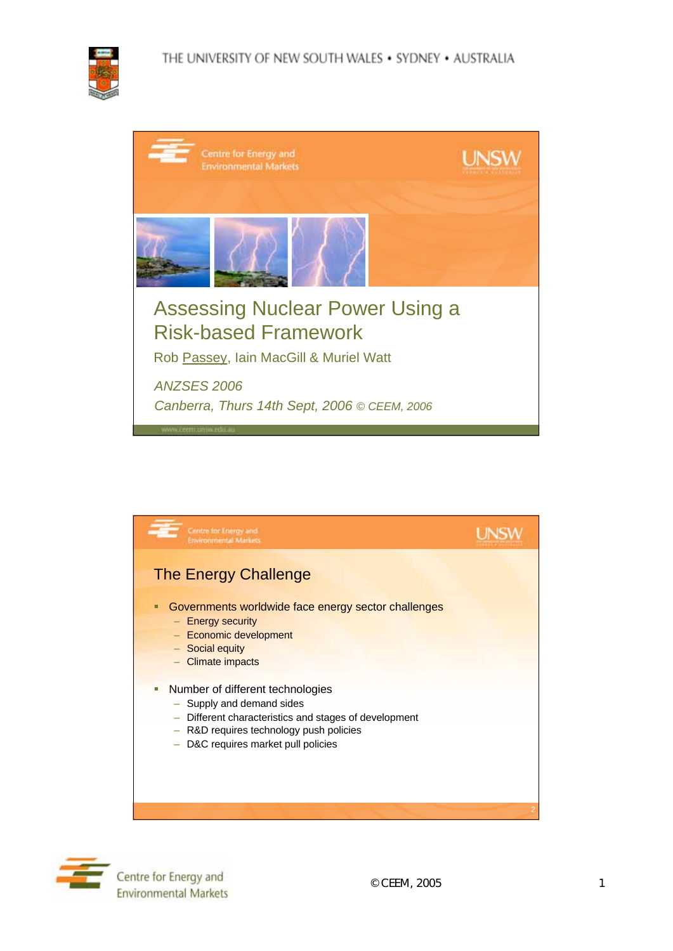

| Centre for Energy and<br><b>Environmental Markets</b>                                                           | <b>UNSV</b> |
|-----------------------------------------------------------------------------------------------------------------|-------------|
|                                                                                                                 |             |
| <b>Assessing Nuclear Power Using a</b><br><b>Risk-based Framework</b><br>Rob Passey, Iain MacGill & Muriel Watt |             |
| <b>ANZSES 2006</b><br>Canberra, Thurs 14th Sept, 2006 © CEEM, 2006<br>www.ceem.uniw.edic.au                     |             |



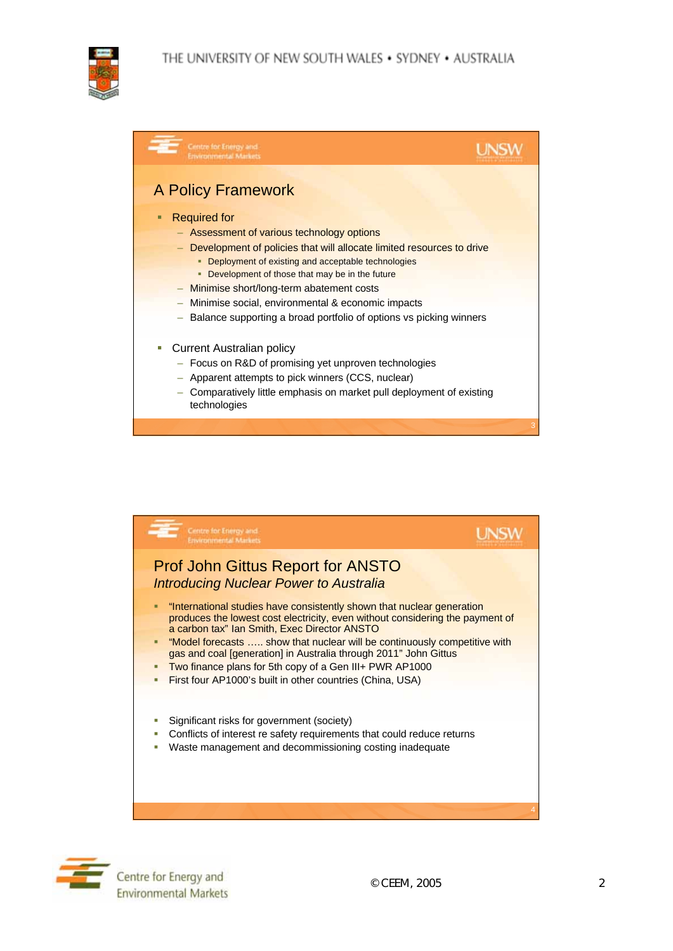## THE UNIVERSITY OF NEW SOUTH WALES . SYDNEY . AUSTRALIA



| Centre for Energy and<br>civironmental Markets                                                                                                                                                                                                                                                                                                                                       |  |
|--------------------------------------------------------------------------------------------------------------------------------------------------------------------------------------------------------------------------------------------------------------------------------------------------------------------------------------------------------------------------------------|--|
| <b>A Policy Framework</b><br><b>Required for</b><br>- Assessment of various technology options<br>Development of policies that will allocate limited resources to drive<br>• Deployment of existing and acceptable technologies<br>• Development of those that may be in the future<br>Minimise short/long-term abatement costs<br>Minimise social, environmental & economic impacts |  |
| Balance supporting a broad portfolio of options vs picking winners                                                                                                                                                                                                                                                                                                                   |  |
| <b>Current Australian policy</b><br>ш<br>- Focus on R&D of promising yet unproven technologies<br>Apparent attempts to pick winners (CCS, nuclear)<br>Comparatively little emphasis on market pull deployment of existing<br>technologies                                                                                                                                            |  |
|                                                                                                                                                                                                                                                                                                                                                                                      |  |



Centre for Energy and **Environmental Markets**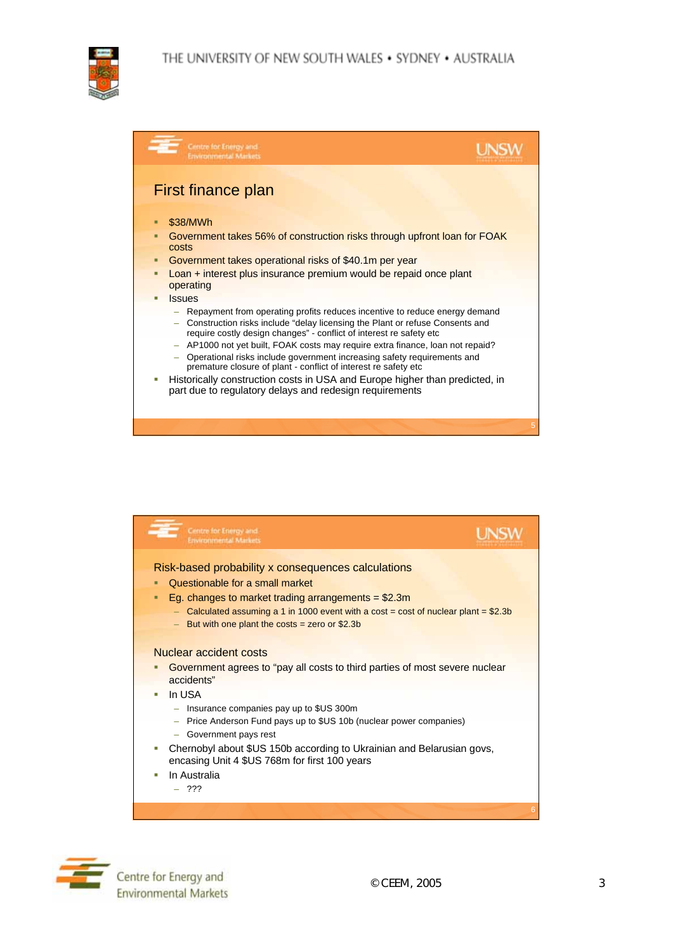



|   | Centre for Energy and<br><b>Invironmental Markets</b>                                                                                                                                                                                 |   |
|---|---------------------------------------------------------------------------------------------------------------------------------------------------------------------------------------------------------------------------------------|---|
|   | First finance plan                                                                                                                                                                                                                    |   |
|   |                                                                                                                                                                                                                                       |   |
| □ | \$38/MWh                                                                                                                                                                                                                              |   |
| п | Government takes 56% of construction risks through upfront loan for FOAK<br>costs                                                                                                                                                     |   |
| ■ | Government takes operational risks of \$40.1 m per year                                                                                                                                                                               |   |
| π | Loan + interest plus insurance premium would be repaid once plant<br>operating                                                                                                                                                        |   |
|   | <b>Issues</b>                                                                                                                                                                                                                         |   |
|   | - Repayment from operating profits reduces incentive to reduce energy demand<br>- Construction risks include "delay licensing the Plant or refuse Consents and<br>require costly design changes" - conflict of interest re safety etc |   |
|   | - AP1000 not yet built, FOAK costs may require extra finance, loan not repaid?                                                                                                                                                        |   |
|   | - Operational risks include government increasing safety requirements and<br>premature closure of plant - conflict of interest re safety etc                                                                                          |   |
| ш | Historically construction costs in USA and Europe higher than predicted, in<br>part due to regulatory delays and redesign requirements                                                                                                |   |
|   |                                                                                                                                                                                                                                       | 5 |
|   |                                                                                                                                                                                                                                       |   |



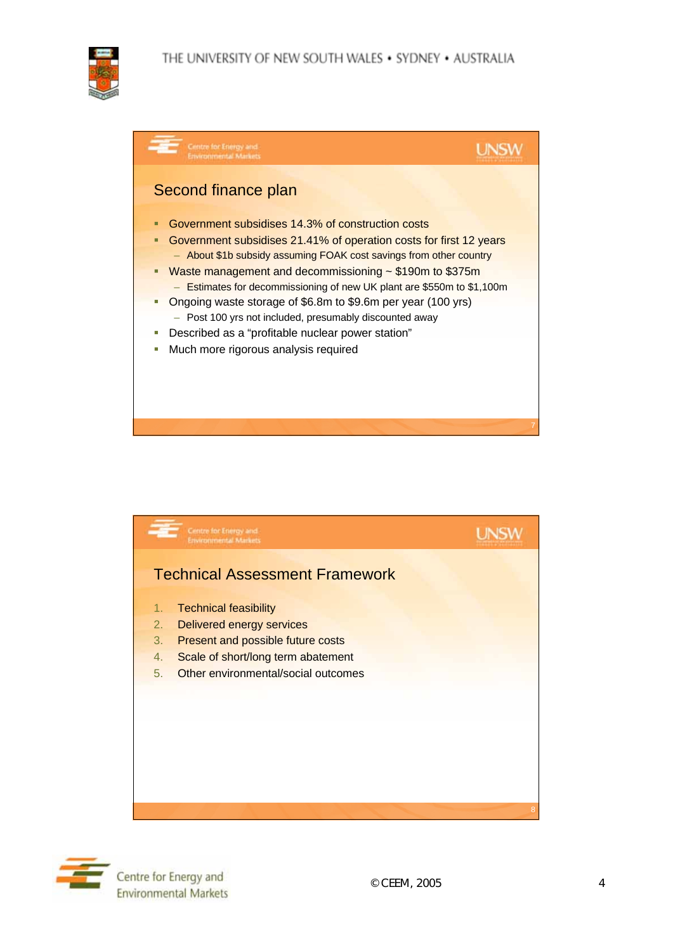





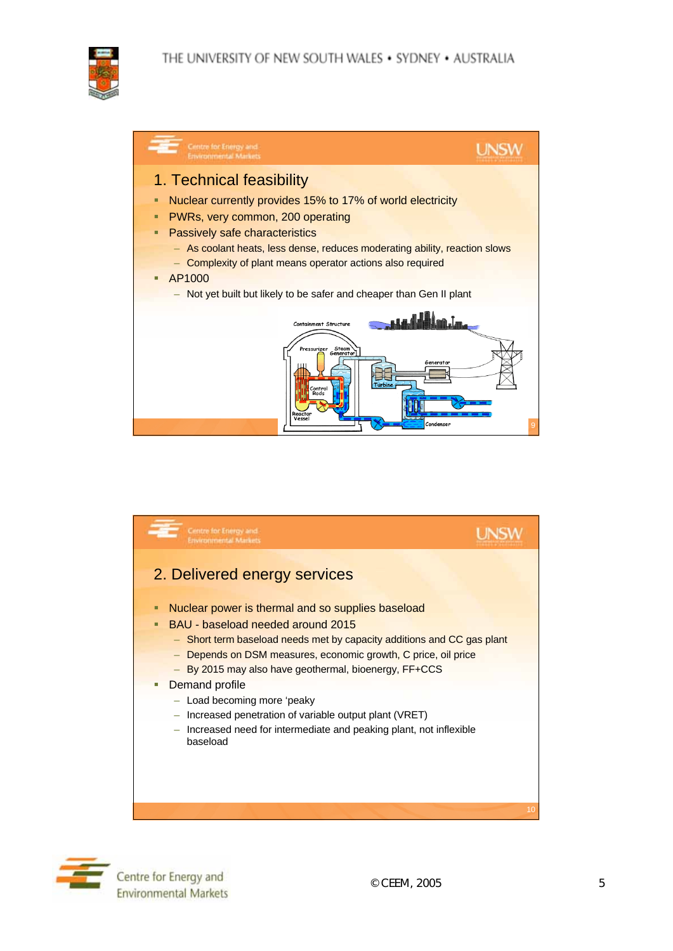





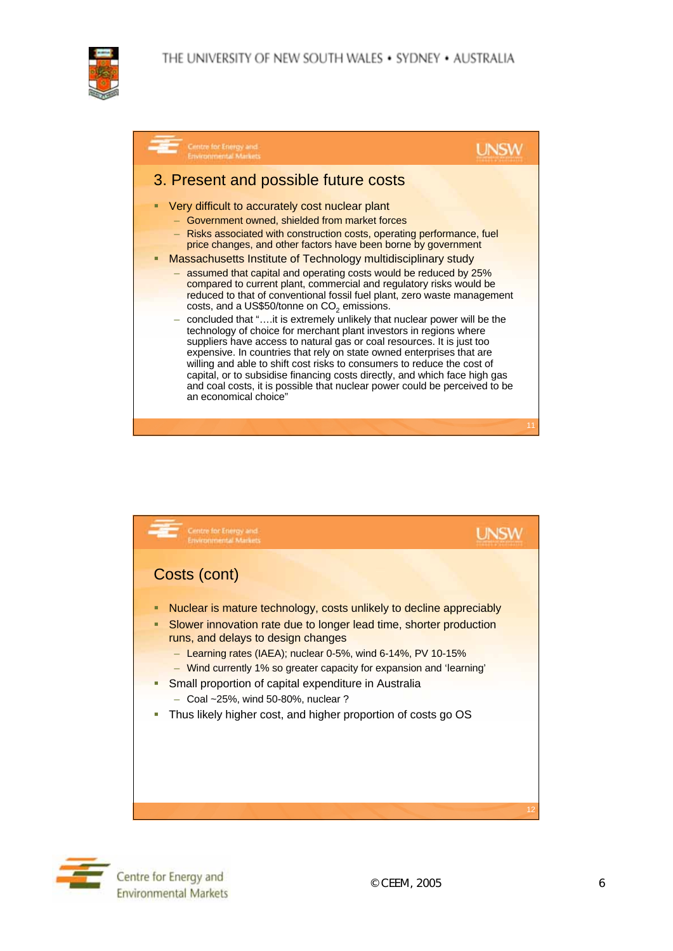





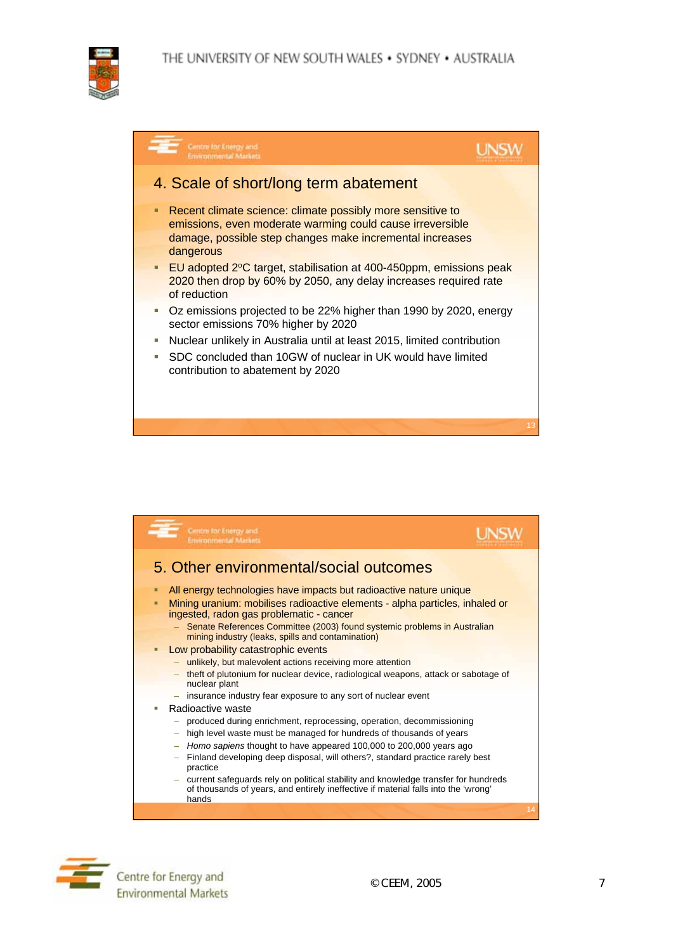





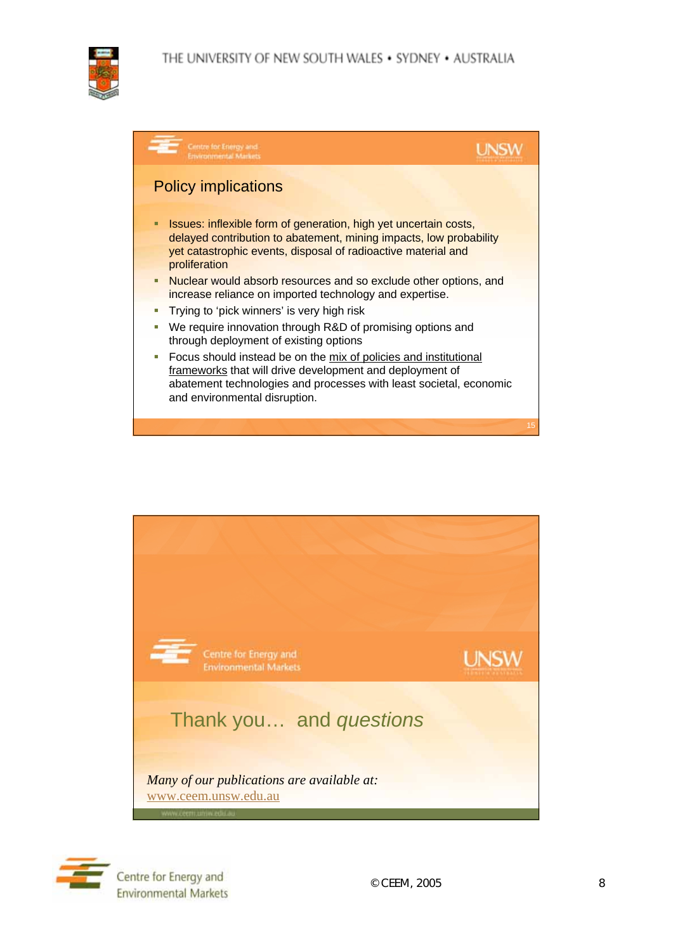